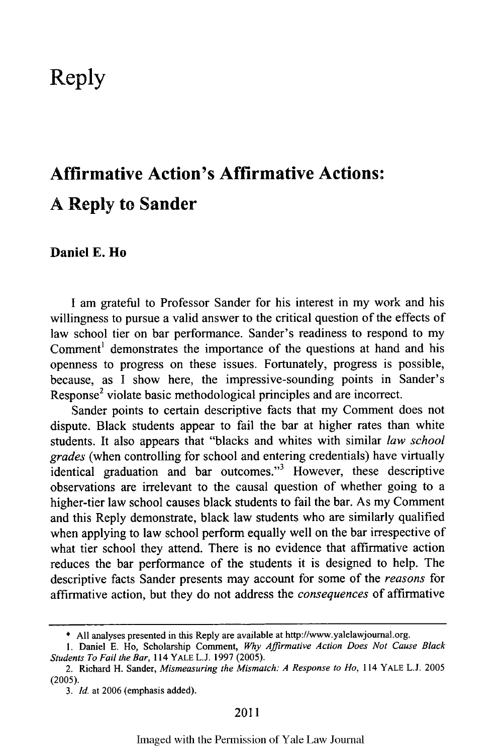## **Reply**

## **Affirmative Action's Affirmative Actions: A Reply to Sander**

## **Daniel E. Ho**

**I** am grateful to Professor Sander for his interest in my work and his willingness to pursue a valid answer to the critical question of the effects of law school tier on bar performance. Sander's readiness to respond to my Comment' demonstrates the importance of the questions at hand and his openness to progress on these issues. Fortunately, progress is possible, because, as **I** show here, the impressive-sounding points in Sander's Response<sup>2</sup> violate basic methodological principles and are incorrect.

Sander points to certain descriptive facts that my Comment does not dispute. Black students appear to fail the bar at higher rates than white students. It also appears that "blacks and whites with similar *law school grades* (when controlling for school and entering credentials) have virtually identical graduation and bar outcomes."<sup>3</sup> However, these descriptive observations are irrelevant to the causal question of whether going to a higher-tier law school causes black students to fail the bar. As my Comment and this Reply demonstrate, black law students who are similarly qualified when applying to law school perform equally well on the bar irrespective of what tier school they attend. There is no evidence that affirmative action reduces the bar performance of the students it is designed to help. The descriptive facts Sander presents may account for some of the *reasons* for affirmative action, but they do not address the *consequences* of affirmative

**<sup>\*</sup> All** analyses presented in this Reply are available at http://www.yalelawjournal.org.

**<sup>1.</sup>** Daniel **E.** Ho, Scholarship Comment, *Why Affirmative Action Does Not Cause Black Students To Fail the Bar,* 114 YALE **L.J. 1997 (2005).**

<sup>2.</sup> Richard H. Sander, *Mismeasuring the Mismatch: A Response to Ho,* 114 YALE **L.J. 2005** (2005).

*<sup>3.</sup> Id.* at 2006 (emphasis added).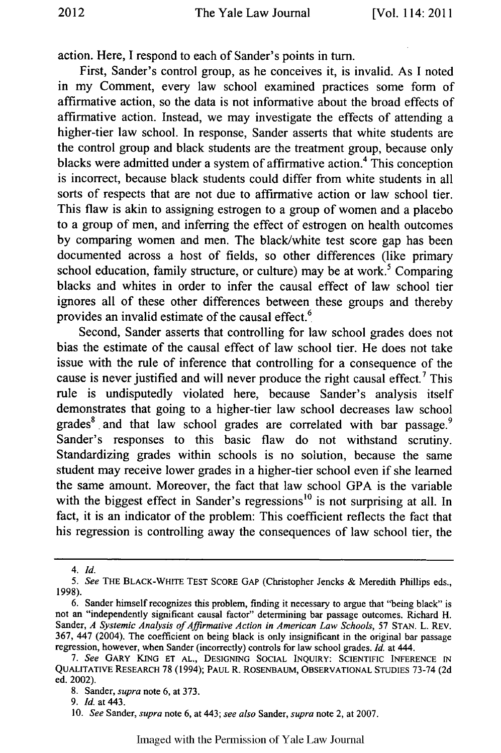action. Here, I respond to each of Sander's points in turn.

First, Sander's control group, as he conceives it, is invalid. As I noted in my Comment, every law school examined practices some form of affirmative action, so the data is not informative about the broad effects of affirmative action. Instead, we may investigate the effects of attending a higher-tier law school. In response, Sander asserts that white students are the control group and black students are the treatment group, because only blacks were admitted under a system of affirmative action.<sup>4</sup> This conception is incorrect, because black students could differ from white students in all sorts of respects that are not due to affirmative action or law school tier. This flaw is akin to assigning estrogen to a group of women and a placebo to a group of men, and inferring the effect of estrogen on health outcomes by comparing women and men. The black/white test score gap has been documented across a host of fields, so other differences (like primary school education, family structure, or culture) may be at work.<sup>5</sup> Comparing blacks and whites in order to infer the causal effect of law school tier ignores all of these other differences between these groups and thereby provides an invalid estimate of the causal effect. $<sup>6</sup>$ </sup>

Second, Sander asserts that controlling for law school grades does not bias the estimate of the causal effect of law school tier. He does not take issue with the rule of inference that controlling for a consequence of the cause is never justified and will never produce the right causal effect.<sup>7</sup> This rule is undisputedly violated here, because Sander's analysis itself demonstrates that going to a higher-tier law school decreases law school grades<sup>8</sup> and that law school grades are correlated with bar passage.<sup>9</sup> Sander's responses to this basic flaw do not withstand scrutiny. Standardizing grades within schools is no solution, because the same student may receive lower grades in a higher-tier school even if she learned the same amount. Moreover, the fact that law school GPA is the variable with the biggest effect in Sander's regressions<sup>10</sup> is not surprising at all. In fact, it is an indicator of the problem: This coefficient reflects the fact that his regression is controlling away the consequences of law school tier, the

*<sup>4.</sup> Id.*

*<sup>5.</sup> See* THE BLACK-WHITE **TEST** SCORE **GAP** (Christopher Jencks & Meredith Phillips eds., 1998).

<sup>6.</sup> Sander himself recognizes this problem, finding it necessary to argue that "being black" is not an "independently significant causal factor" determining bar passage outcomes. Richard H. Sander, *A Systemic Analysis of Affirmative Action in American Law Schools*, 57 STAN. L. REV. 367, 447 (2004). The coefficient on being black is only insignificant in the original bar passage regression, however, when Sander (incorrectly) controls for law school grades. *Id.* at 444.

*<sup>7.</sup> See* GARY **KING ET AL., DESIGNING SOCIAL** INQUIRY: SCIENTIFIC **INFERENCE IN** QUALITATIVE RESEARCH 78 (1994); **PAUL** R. **ROSENBAUM,** OBSERVATIONAL STUDIES 73-74 (2d ed. 2002).

<sup>8.</sup> Sander, *supra* note 6, at 373.

<sup>9.</sup> *Id.* at 443.

<sup>10.</sup> *See* Sander, *supra* note 6, at 443; *see also* Sander, *supra* note 2, at 2007.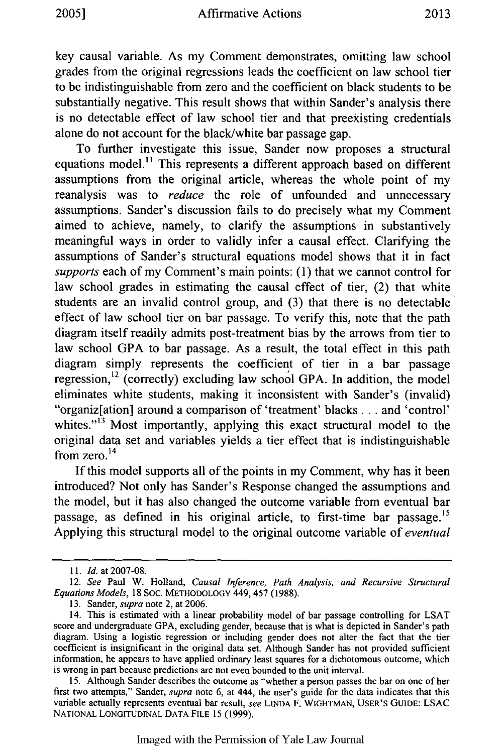key causal variable. As my Comment demonstrates, omitting law school grades from the original regressions leads the coefficient on law school tier to be indistinguishable from zero and the coefficient on black students to be substantially negative. This result shows that within Sander's analysis there is no detectable effect of law school tier and that preexisting credentials alone do not account for the black/white bar passage gap.

To further investigate this issue, Sander now proposes a structural equations model." This represents a different approach based on different assumptions from the original article, whereas the whole point of my reanalysis was to *reduce* the role of unfounded and unnecessary assumptions. Sander's discussion fails to do precisely what my Comment aimed to achieve, namely, to clarify the assumptions in substantively meaningful ways in order to validly infer a causal effect. Clarifying the assumptions of Sander's structural equations model shows that it in fact *supports* each of my Comment's main points: (1) that we cannot control for law school grades in estimating the causal effect of tier, (2) that white students are an invalid control group, and (3) that there is no detectable effect of law school tier on bar passage. To verify this, note that the path diagram itself readily admits post-treatment bias by the arrows from tier to law school GPA to bar passage. As a result, the total effect in this path diagram simply represents the coefficient of tier in a bar passage regression, $^{12}$  (correctly) excluding law school GPA. In addition, the model eliminates white students, making it inconsistent with Sander's (invalid) "organiz[ation] around a comparison of 'treatment' blacks **...** and 'control' whites."<sup>13</sup> Most importantly, applying this exact structural model to the original data set and variables yields a tier effect that is indistinguishable  $\frac{14}{10}$  from zero.<sup>14</sup>

If this model supports all of the points in my Comment, why has it been introduced? Not only has Sander's Response changed the assumptions and the model, but it has also changed the outcome variable from eventual bar passage, as defined in his original article, to first-time bar passage.<sup>15</sup> Applying this structural model to the original outcome variable of *eventual*

Imaged with the Permission of Yale Law Journal

*<sup>11.</sup> Id.* at 2007-08.

<sup>12.</sup> *See* Paul W. Holland, *Causal Inference, Path Analysis, and Recursive Structural Equations Models,* 18 SOC. METHODOLOGY 449, 457 (1988).

**<sup>13.</sup>** Sander, *supra* note 2, at 2006.

<sup>14.</sup> This is estimated with a linear probability model of bar passage controlling for LSAT score and undergraduate GPA, excluding gender, because that is what is depicted in Sander's path diagram. Using a logistic regression or including gender does not alter the fact that the tier coefficient is insignificant in the original data set. Although Sander has not provided sufficient information, he appears to have applied ordinary least squares for a dichotomous outcome, which is wrong in part because predictions are not even bounded to the unit interval.

**<sup>15.</sup>** Although Sander describes the outcome as "whether a person passes the bar on one of her first two attempts," Sander, *supra* note 6, at 444, the user's guide for the data indicates that this variable actually represents eventual bar result, *see* **LINDA** F. WIGHTMAN, **USER'S GUIDE:** LSAC **NATIONAL LONGITUDINAL DATA FILE 15 (1999).**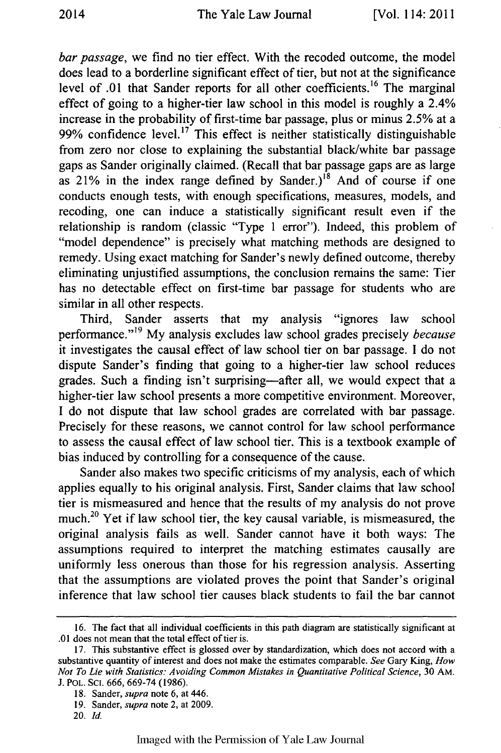*bar passage,* we find no tier effect. With the recoded outcome, the model does lead to a borderline significant effect of tier, but not at the significance level of .01 that Sander reports for all other coefficients.<sup>16</sup> The marginal effect of going to a higher-tier law school in this model is roughly a 2.4% increase in the probability of first-time bar passage, plus or minus 2.5% at a 99% confidence level.<sup>17</sup> This effect is neither statistically distinguishable from zero nor close to explaining the substantial black/white bar passage gaps as Sander originally claimed. (Recall that bar passage gaps are as large as 21% in the index range defined by Sander.)<sup>18</sup> And of course if one conducts enough tests, with enough specifications, measures, models, and recoding, one can induce a statistically significant result even if the relationship is random (classic "Type 1 error"). Indeed, this problem of "model dependence" is precisely what matching methods are designed to remedy. Using exact matching for Sander's newly defined outcome, thereby eliminating unjustified assumptions, the conclusion remains the same: Tier has no detectable effect on first-time bar passage for students who are similar in all other respects.

Third, Sander asserts that my analysis "ignores law school performance."<sup>19</sup> My analysis excludes law school grades precisely *because* it investigates the causal effect of law school tier on bar passage. I do not dispute Sander's finding that going to a higher-tier law school reduces grades. Such a finding isn't surprising-after all, we would expect that a higher-tier law school presents a more competitive environment. Moreover, I do not dispute that law school grades are correlated with bar passage. Precisely for these reasons, we cannot control for law school performance to assess the causal effect of law school tier. This is a textbook example of bias induced by controlling for a consequence of the cause.

Sander also makes two specific criticisms of my analysis, each of which applies equally to his original analysis. First, Sander claims that law school tier is mismeasured and hence that the results of my analysis do not prove much.2° Yet if law school tier, the key causal variable, is mismeasured, the original analysis fails as well. Sander cannot have it both ways: The assumptions required to interpret the matching estimates causally are uniformly less onerous than those for his regression analysis. Asserting that the assumptions are violated proves the point that Sander's original inference that law school tier causes black students to fail the bar cannot

**<sup>16.</sup>** The fact that all individual coefficients in this path diagram are statistically significant at .01 does not mean that the total effect of tier is.

<sup>17.</sup> This substantive effect is glossed over by standardization, which does not accord with a substantive quantity of interest and does not make the estimates comparable. *See* Gary King, *How Not To Lie with Statistics: Avoiding Common Mistakes in Quantitative Political Science,* 30 AM. J. POL. SCI. 666, 669-74 (1986).

<sup>18.</sup> Sander, *supra* note 6, at 446.

<sup>19.</sup> Sander, *supra* note 2, at 2009.

<sup>20.</sup> *Id.*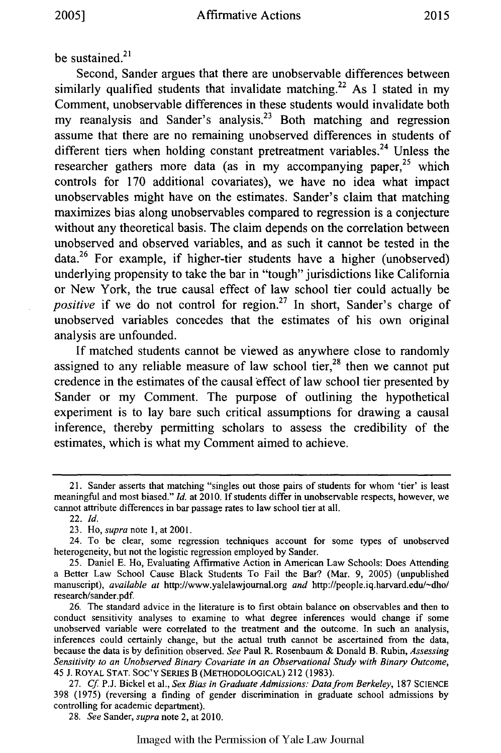be sustained. $21$ 

Second, Sander argues that there are unobservable differences between similarly qualified students that invalidate matching.<sup>22</sup> As I stated in my Comment, unobservable differences in these students would invalidate both my reanalysis and Sander's analysis.<sup>23</sup> Both matching and regression assume that there are no remaining unobserved differences in students of different tiers when holding constant pretreatment variables.<sup>24</sup> Unless the researcher gathers more data (as in my accompanying paper, $25$  which controls for 170 additional covariates), we have no idea what impact unobservables might have on the estimates. Sander's claim that matching maximizes bias along unobservables compared to regression is a conjecture without any theoretical basis. The claim depends on the correlation between unobserved and observed variables, and as such it cannot be tested in the data.26 For example, if higher-tier students have a higher (unobserved) underlying propensity to take the bar in "tough" jurisdictions like California or New York, the true causal effect of law school tier could actually be *positive* if we do not control for region.<sup>27</sup> In short, Sander's charge of unobserved variables concedes that the estimates of his own original analysis are unfounded.

If matched students cannot be viewed as anywhere close to randomly assigned to any reliable measure of law school tier, $28$  then we cannot put credence in the estimates of the causal effect of law school tier presented by Sander or my Comment. The purpose of outlining the hypothetical experiment is to lay bare such critical assumptions for drawing a causal inference, thereby permitting scholars to assess the credibility of the estimates, which is what my Comment aimed to achieve.

28. *See* Sander, *supra* note 2, at 2010.

<sup>21.</sup> Sander asserts that matching "singles out those pairs of students for whom 'tier' is least meaningful and most biased." *Id.* at 2010. If students differ in unobservable respects, however, we cannot attribute differences in bar passage rates to law school tier at all.

<sup>22.</sup> *Id.*

<sup>23.</sup> Ho, *supra* note 1, at 2001.

<sup>24.</sup> To be clear, some regression techniques account for some types of unobserved heterogeneity, but not the logistic regression employed by Sander.

<sup>25.</sup> Daniel **E.** Ho, Evaluating Affirmative Action in American Law Schools: Does Attending a Better Law School Cause Black Students To Fail the Bar? (Mar. 9, 2005) (unpublished manuscript), *available at* http://www.yalelawjoumal.org *and* http://people.iq.harvard.edu/-dho/ research/sander.pdf.

<sup>26.</sup> The standard advice in the literature is to first obtain balance on observables and then to conduct sensitivity analyses to examine to what degree inferences would change if some unobserved variable were correlated to the treatment and the outcome. In such an analysis, inferences could certainly change, but the actual truth cannot be ascertained from the data, because the data is by definition observed. *See* Paul R. Rosenbaun & Donald B. Rubin, *Assessing Sensitivity to an Unobserved Binary Covariate in an Observational Study with Binary Outcome,* 45 J. ROYAL **STAT.** SOC'Y SERIES B (METHODOLOGICAL) 212 (1983).

<sup>27.</sup> Cf P.J. Bickel et al., Sex Bias in Graduate *Admissions:* Data from Berkeley, 187 SCIENCE 398 (1975) (reversing a finding of gender discrimination in graduate school admissions by controlling for academic department).